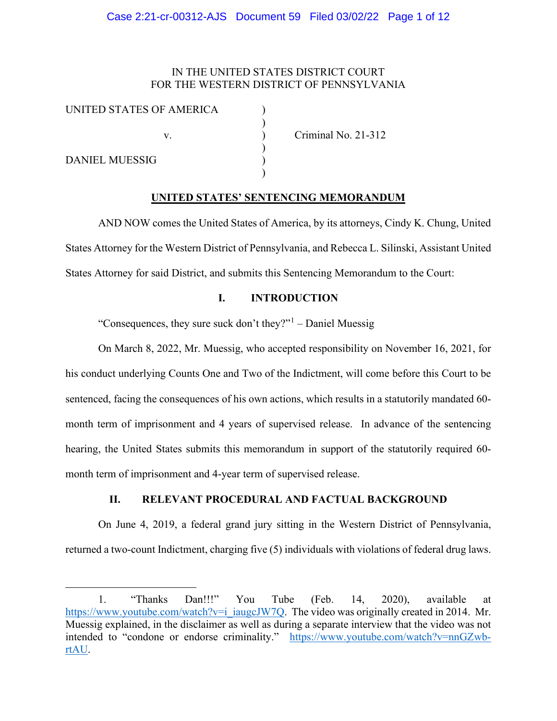## IN THE UNITED STATES DISTRICT COURT FOR THE WESTERN DISTRICT OF PENNSYLVANIA

)

| UNITED STATES OF AMERICA |  |
|--------------------------|--|
|                          |  |
| v                        |  |
| <b>DANIEL MUESSIG</b>    |  |
|                          |  |
|                          |  |

Criminal No. 21-312

## **UNITED STATES' SENTENCING MEMORANDUM**

AND NOW comes the United States of America, by its attorneys, Cindy K. Chung, United States Attorney for the Western District of Pennsylvania, and Rebecca L. Silinski, Assistant United States Attorney for said District, and submits this Sentencing Memorandum to the Court:

## **I. INTRODUCTION**

"Consequences, they sure suck don't they?" $1$  – Daniel Muessig

On March 8, 2022, Mr. Muessig, who accepted responsibility on November 16, 2021, for his conduct underlying Counts One and Two of the Indictment, will come before this Court to be sentenced, facing the consequences of his own actions, which results in a statutorily mandated 60 month term of imprisonment and 4 years of supervised release. In advance of the sentencing hearing, the United States submits this memorandum in support of the statutorily required 60 month term of imprisonment and 4-year term of supervised release.

# **II. RELEVANT PROCEDURAL AND FACTUAL BACKGROUND**

On June 4, 2019, a federal grand jury sitting in the Western District of Pennsylvania, returned a two-count Indictment, charging five (5) individuals with violations of federal drug laws.

<span id="page-0-0"></span><sup>1.</sup> "Thanks Dan!!!" You Tube (Feb. 14, 2020), available at [https://www.youtube.com/watch?v=i\\_iaugcJW7Q.](https://www.youtube.com/watch?v=i_iaugcJW7Q) The video was originally created in 2014. Mr. Muessig explained, in the disclaimer as well as during a separate interview that the video was not intended to "condone or endorse criminality." [https://www.youtube.com/watch?v=nnGZwb](https://www.youtube.com/watch?v=nnGZwb-rtAU)[rtAU.](https://www.youtube.com/watch?v=nnGZwb-rtAU)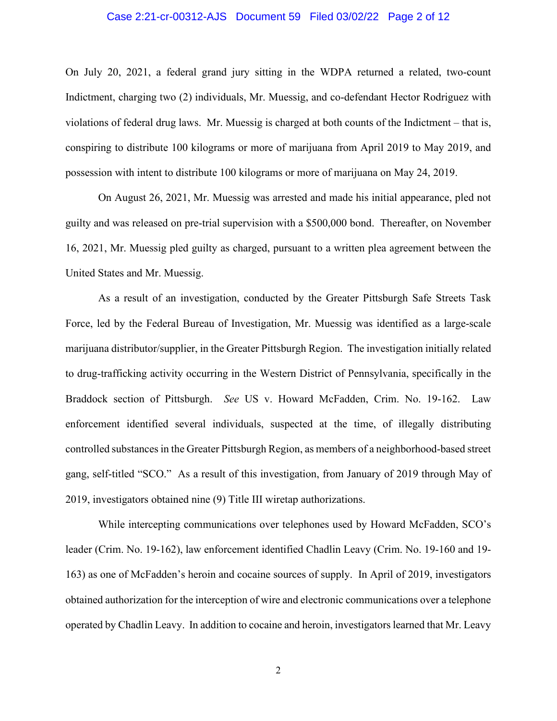### Case 2:21-cr-00312-AJS Document 59 Filed 03/02/22 Page 2 of 12

On July 20, 2021, a federal grand jury sitting in the WDPA returned a related, two-count Indictment, charging two (2) individuals, Mr. Muessig, and co-defendant Hector Rodriguez with violations of federal drug laws. Mr. Muessig is charged at both counts of the Indictment – that is, conspiring to distribute 100 kilograms or more of marijuana from April 2019 to May 2019, and possession with intent to distribute 100 kilograms or more of marijuana on May 24, 2019.

On August 26, 2021, Mr. Muessig was arrested and made his initial appearance, pled not guilty and was released on pre-trial supervision with a \$500,000 bond. Thereafter, on November 16, 2021, Mr. Muessig pled guilty as charged, pursuant to a written plea agreement between the United States and Mr. Muessig.

As a result of an investigation, conducted by the Greater Pittsburgh Safe Streets Task Force, led by the Federal Bureau of Investigation, Mr. Muessig was identified as a large-scale marijuana distributor/supplier, in the Greater Pittsburgh Region. The investigation initially related to drug-trafficking activity occurring in the Western District of Pennsylvania, specifically in the Braddock section of Pittsburgh. *See* US v. Howard McFadden, Crim. No. 19-162. Law enforcement identified several individuals, suspected at the time, of illegally distributing controlled substances in the Greater Pittsburgh Region, as members of a neighborhood-based street gang, self-titled "SCO." As a result of this investigation, from January of 2019 through May of 2019, investigators obtained nine (9) Title III wiretap authorizations.

While intercepting communications over telephones used by Howard McFadden, SCO's leader (Crim. No. 19-162), law enforcement identified Chadlin Leavy (Crim. No. 19-160 and 19- 163) as one of McFadden's heroin and cocaine sources of supply. In April of 2019, investigators obtained authorization for the interception of wire and electronic communications over a telephone operated by Chadlin Leavy. In addition to cocaine and heroin, investigators learned that Mr. Leavy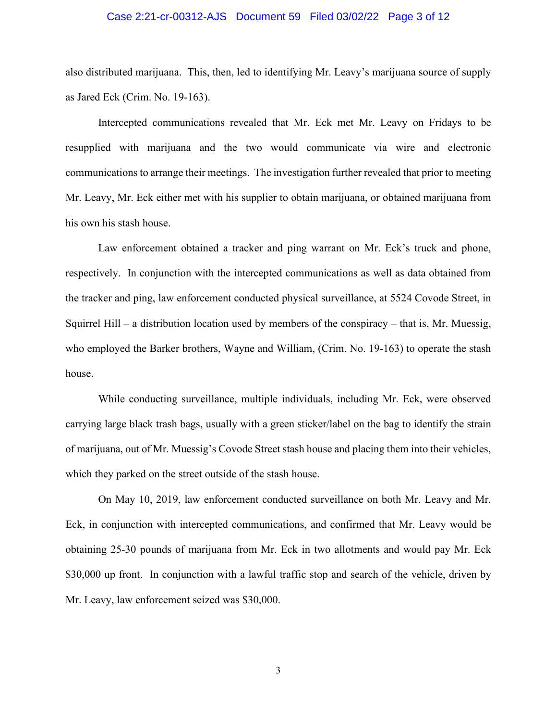### Case 2:21-cr-00312-AJS Document 59 Filed 03/02/22 Page 3 of 12

also distributed marijuana. This, then, led to identifying Mr. Leavy's marijuana source of supply as Jared Eck (Crim. No. 19-163).

Intercepted communications revealed that Mr. Eck met Mr. Leavy on Fridays to be resupplied with marijuana and the two would communicate via wire and electronic communications to arrange their meetings. The investigation further revealed that prior to meeting Mr. Leavy, Mr. Eck either met with his supplier to obtain marijuana, or obtained marijuana from his own his stash house.

Law enforcement obtained a tracker and ping warrant on Mr. Eck's truck and phone, respectively. In conjunction with the intercepted communications as well as data obtained from the tracker and ping, law enforcement conducted physical surveillance, at 5524 Covode Street, in Squirrel Hill – a distribution location used by members of the conspiracy – that is, Mr. Muessig, who employed the Barker brothers, Wayne and William, (Crim. No. 19-163) to operate the stash house.

While conducting surveillance, multiple individuals, including Mr. Eck, were observed carrying large black trash bags, usually with a green sticker/label on the bag to identify the strain of marijuana, out of Mr. Muessig's Covode Street stash house and placing them into their vehicles, which they parked on the street outside of the stash house.

On May 10, 2019, law enforcement conducted surveillance on both Mr. Leavy and Mr. Eck, in conjunction with intercepted communications, and confirmed that Mr. Leavy would be obtaining 25-30 pounds of marijuana from Mr. Eck in two allotments and would pay Mr. Eck \$30,000 up front. In conjunction with a lawful traffic stop and search of the vehicle, driven by Mr. Leavy, law enforcement seized was \$30,000.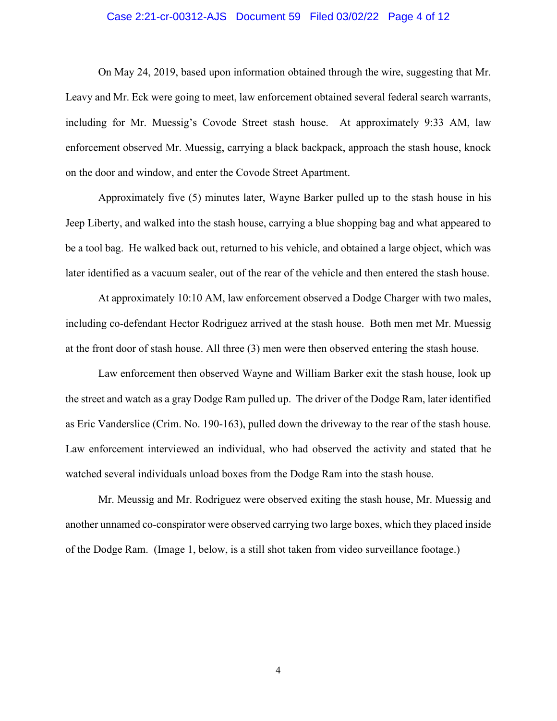### Case 2:21-cr-00312-AJS Document 59 Filed 03/02/22 Page 4 of 12

On May 24, 2019, based upon information obtained through the wire, suggesting that Mr. Leavy and Mr. Eck were going to meet, law enforcement obtained several federal search warrants, including for Mr. Muessig's Covode Street stash house. At approximately 9:33 AM, law enforcement observed Mr. Muessig, carrying a black backpack, approach the stash house, knock on the door and window, and enter the Covode Street Apartment.

Approximately five (5) minutes later, Wayne Barker pulled up to the stash house in his Jeep Liberty, and walked into the stash house, carrying a blue shopping bag and what appeared to be a tool bag. He walked back out, returned to his vehicle, and obtained a large object, which was later identified as a vacuum sealer, out of the rear of the vehicle and then entered the stash house.

At approximately 10:10 AM, law enforcement observed a Dodge Charger with two males, including co-defendant Hector Rodriguez arrived at the stash house. Both men met Mr. Muessig at the front door of stash house. All three (3) men were then observed entering the stash house.

Law enforcement then observed Wayne and William Barker exit the stash house, look up the street and watch as a gray Dodge Ram pulled up. The driver of the Dodge Ram, later identified as Eric Vanderslice (Crim. No. 190-163), pulled down the driveway to the rear of the stash house. Law enforcement interviewed an individual, who had observed the activity and stated that he watched several individuals unload boxes from the Dodge Ram into the stash house.

Mr. Meussig and Mr. Rodriguez were observed exiting the stash house, Mr. Muessig and another unnamed co-conspirator were observed carrying two large boxes, which they placed inside of the Dodge Ram. (Image 1, below, is a still shot taken from video surveillance footage.)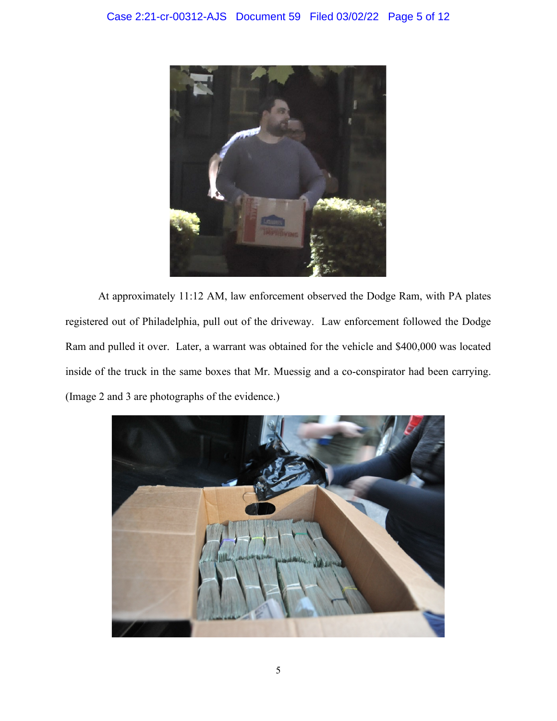

At approximately 11:12 AM, law enforcement observed the Dodge Ram, with PA plates registered out of Philadelphia, pull out of the driveway. Law enforcement followed the Dodge Ram and pulled it over. Later, a warrant was obtained for the vehicle and \$400,000 was located inside of the truck in the same boxes that Mr. Muessig and a co-conspirator had been carrying. (Image 2 and 3 are photographs of the evidence.)

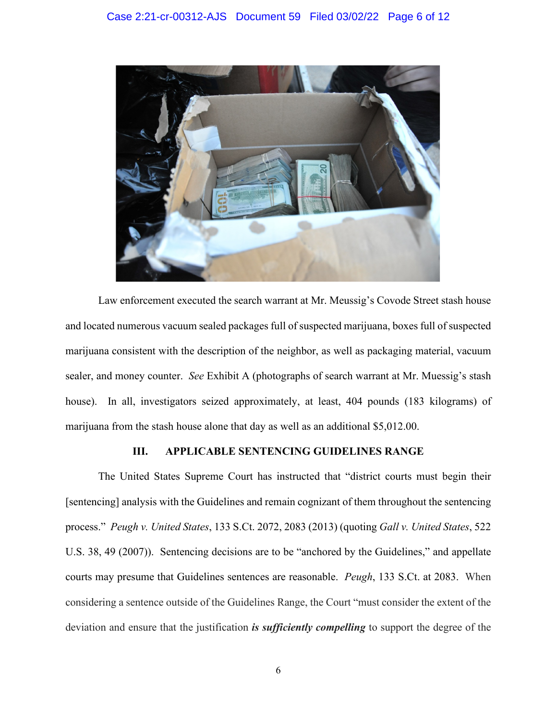

Law enforcement executed the search warrant at Mr. Meussig's Covode Street stash house and located numerous vacuum sealed packages full of suspected marijuana, boxes full of suspected marijuana consistent with the description of the neighbor, as well as packaging material, vacuum sealer, and money counter. *See* Exhibit A (photographs of search warrant at Mr. Muessig's stash house). In all, investigators seized approximately, at least, 404 pounds (183 kilograms) of marijuana from the stash house alone that day as well as an additional \$5,012.00.

## **III. APPLICABLE SENTENCING GUIDELINES RANGE**

The United States Supreme Court has instructed that "district courts must begin their [sentencing] analysis with the Guidelines and remain cognizant of them throughout the sentencing process." *Peugh v. United States*, 133 S.Ct. 2072, 2083 (2013) (quoting *Gall v. United States*, 522 U.S. 38, 49 (2007)). Sentencing decisions are to be "anchored by the Guidelines," and appellate courts may presume that Guidelines sentences are reasonable. *Peugh*, 133 S.Ct. at 2083. When considering a sentence outside of the Guidelines Range, the Court "must consider the extent of the deviation and ensure that the justification *is sufficiently compelling* to support the degree of the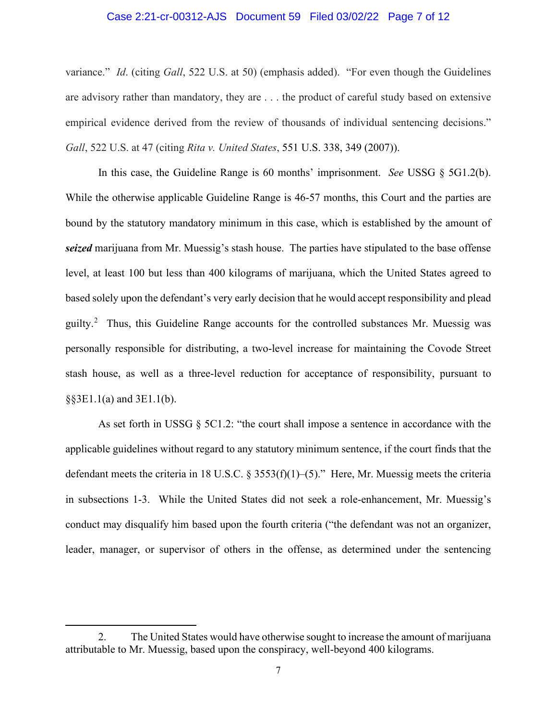### Case 2:21-cr-00312-AJS Document 59 Filed 03/02/22 Page 7 of 12

variance." *Id*. (citing *Gall*, 522 U.S. at 50) (emphasis added). "For even though the Guidelines are advisory rather than mandatory, they are . . . the product of careful study based on extensive empirical evidence derived from the review of thousands of individual sentencing decisions." *Gall*, 522 U.S. at 47 (citing *Rita v. United States*, [551 U.S. 338, 349 \(2007\)\).](https://1.next.westlaw.com/Link/Document/FullText?findType=Y&serNum=2012518408&pubNum=708&originatingDoc=If0e572b0a73011dcb6a3a099756c05b7&refType=RP&originationContext=document&transitionType=DocumentItem&contextData=(sc.DocLink))

In this case, the Guideline Range is 60 months' imprisonment. *See* USSG § 5G1.2(b). While the otherwise applicable Guideline Range is 46-57 months, this Court and the parties are bound by the statutory mandatory minimum in this case, which is established by the amount of *seized* marijuana from Mr. Muessig's stash house. The parties have stipulated to the base offense level, at least 100 but less than 400 kilograms of marijuana, which the United States agreed to based solely upon the defendant's very early decision that he would accept responsibility and plead guilty.<sup>[2](#page-6-0)</sup> Thus, this Guideline Range accounts for the controlled substances Mr. Muessig was personally responsible for distributing, a two-level increase for maintaining the Covode Street stash house, as well as a three-level reduction for acceptance of responsibility, pursuant to §§3E1.1(a) and 3E1.1(b).

As set forth in USSG § 5C1.2: "the court shall impose a sentence in accordance with the applicable guidelines without regard to any statutory minimum sentence, if the court finds that the defendant meets the criteria in 18 U.S.C. § 3553(f)(1)–(5)." Here, Mr. Muessig meets the criteria in subsections 1-3. While the United States did not seek a role-enhancement, Mr. Muessig's conduct may disqualify him based upon the fourth criteria ("the defendant was not an organizer, leader, manager, or supervisor of others in the offense, as determined under the sentencing

<span id="page-6-0"></span><sup>2.</sup> The United States would have otherwise sought to increase the amount of marijuana attributable to Mr. Muessig, based upon the conspiracy, well-beyond 400 kilograms.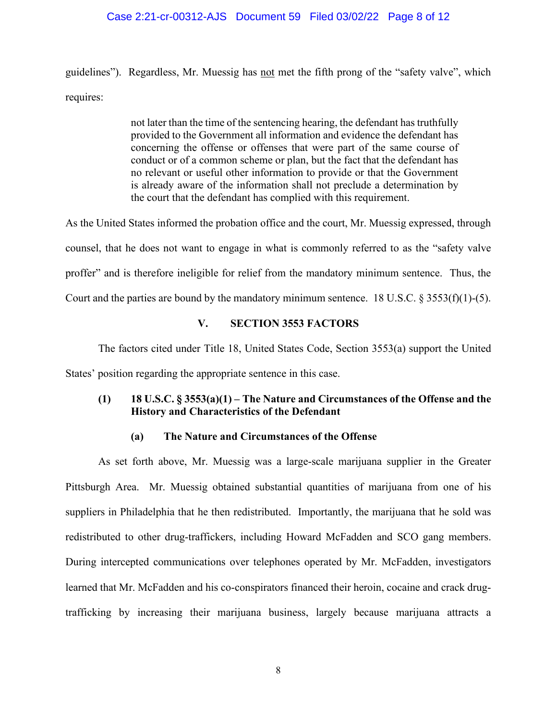### Case 2:21-cr-00312-AJS Document 59 Filed 03/02/22 Page 8 of 12

guidelines"). Regardless, Mr. Muessig has not met the fifth prong of the "safety valve", which requires:

> not later than the time of the sentencing hearing, the defendant has truthfully provided to the Government all information and evidence the defendant has concerning the offense or offenses that were part of the same course of conduct or of a common scheme or plan, but the fact that the defendant has no relevant or useful other information to provide or that the Government is already aware of the information shall not preclude a determination by the court that the defendant has complied with this requirement.

As the United States informed the probation office and the court, Mr. Muessig expressed, through counsel, that he does not want to engage in what is commonly referred to as the "safety valve proffer" and is therefore ineligible for relief from the mandatory minimum sentence. Thus, the Court and the parties are bound by the mandatory minimum sentence. 18 U.S.C.  $\S 3553(f)(1)$ -(5).

### **V. SECTION 3553 FACTORS**

The factors cited under Title 18, United States Code, Section 3553(a) support the United States' position regarding the appropriate sentence in this case.

## **(1) 18 U.S.C. § 3553(a)(1) – The Nature and Circumstances of the Offense and the History and Characteristics of the Defendant**

### **(a) The Nature and Circumstances of the Offense**

As set forth above, Mr. Muessig was a large-scale marijuana supplier in the Greater Pittsburgh Area. Mr. Muessig obtained substantial quantities of marijuana from one of his suppliers in Philadelphia that he then redistributed. Importantly, the marijuana that he sold was redistributed to other drug-traffickers, including Howard McFadden and SCO gang members. During intercepted communications over telephones operated by Mr. McFadden, investigators learned that Mr. McFadden and his co-conspirators financed their heroin, cocaine and crack drugtrafficking by increasing their marijuana business, largely because marijuana attracts a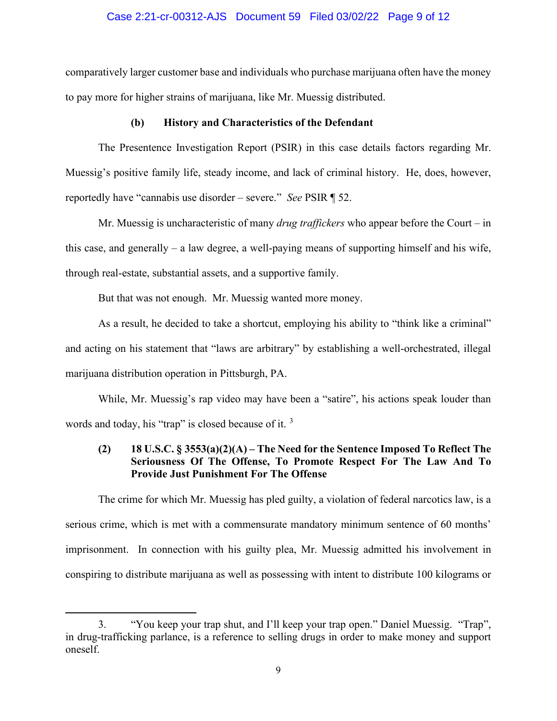### Case 2:21-cr-00312-AJS Document 59 Filed 03/02/22 Page 9 of 12

comparatively larger customer base and individuals who purchase marijuana often have the money to pay more for higher strains of marijuana, like Mr. Muessig distributed.

### **(b) History and Characteristics of the Defendant**

The Presentence Investigation Report (PSIR) in this case details factors regarding Mr. Muessig's positive family life, steady income, and lack of criminal history. He, does, however, reportedly have "cannabis use disorder – severe." *See* PSIR ¶ 52.

Mr. Muessig is uncharacteristic of many *drug traffickers* who appear before the Court – in this case, and generally – a law degree, a well-paying means of supporting himself and his wife, through real-estate, substantial assets, and a supportive family.

But that was not enough. Mr. Muessig wanted more money.

As a result, he decided to take a shortcut, employing his ability to "think like a criminal" and acting on his statement that "laws are arbitrary" by establishing a well-orchestrated, illegal marijuana distribution operation in Pittsburgh, PA.

While, Mr. Muessig's rap video may have been a "satire", his actions speak louder than words and today, his "trap" is closed because of it.<sup>[3](#page-8-0)</sup>

## **(2) 18 U.S.C. § 3553(a)(2)(A) – The Need for the Sentence Imposed To Reflect The Seriousness Of The Offense, To Promote Respect For The Law And To Provide Just Punishment For The Offense**

The crime for which Mr. Muessig has pled guilty, a violation of federal narcotics law, is a serious crime, which is met with a commensurate mandatory minimum sentence of 60 months' imprisonment. In connection with his guilty plea, Mr. Muessig admitted his involvement in conspiring to distribute marijuana as well as possessing with intent to distribute 100 kilograms or

<span id="page-8-0"></span><sup>3.</sup> "You keep your trap shut, and I'll keep your trap open." Daniel Muessig. "Trap", in drug-trafficking parlance, is a reference to selling drugs in order to make money and support oneself.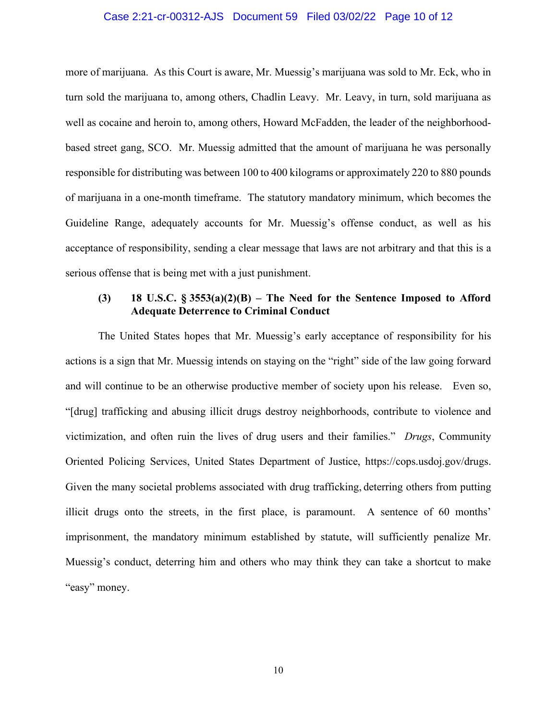### Case 2:21-cr-00312-AJS Document 59 Filed 03/02/22 Page 10 of 12

more of marijuana. As this Court is aware, Mr. Muessig's marijuana was sold to Mr. Eck, who in turn sold the marijuana to, among others, Chadlin Leavy. Mr. Leavy, in turn, sold marijuana as well as cocaine and heroin to, among others, Howard McFadden, the leader of the neighborhoodbased street gang, SCO. Mr. Muessig admitted that the amount of marijuana he was personally responsible for distributing was between 100 to 400 kilograms or approximately 220 to 880 pounds of marijuana in a one-month timeframe. The statutory mandatory minimum, which becomes the Guideline Range, adequately accounts for Mr. Muessig's offense conduct, as well as his acceptance of responsibility, sending a clear message that laws are not arbitrary and that this is a serious offense that is being met with a just punishment.

### **(3) 18 U.S.C. § 3553(a)(2)(B) – The Need for the Sentence Imposed to Afford Adequate Deterrence to Criminal Conduct**

The United States hopes that Mr. Muessig's early acceptance of responsibility for his actions is a sign that Mr. Muessig intends on staying on the "right" side of the law going forward and will continue to be an otherwise productive member of society upon his release. Even so, "[drug] trafficking and abusing illicit drugs destroy neighborhoods, contribute to violence and victimization, and often ruin the lives of drug users and their families." *Drugs*, Community Oriented Policing Services, United States Department of Justice, [https://cops.usdoj.gov/drugs.](https://cops.usdoj.gov/drugs) Given the many societal problems associated with drug trafficking, deterring others from putting illicit drugs onto the streets, in the first place, is paramount. A sentence of 60 months' imprisonment, the mandatory minimum established by statute, will sufficiently penalize Mr. Muessig's conduct, deterring him and others who may think they can take a shortcut to make "easy" money.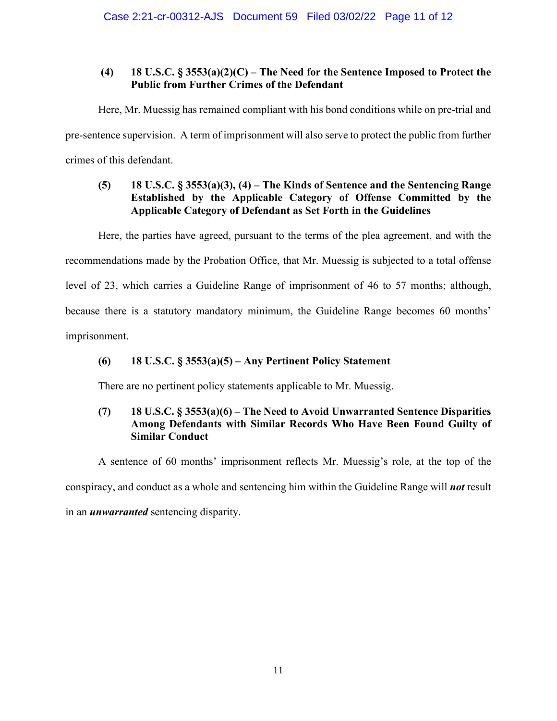## **(4) 18 U.S.C. § 3553(a)(2)(C) – The Need for the Sentence Imposed to Protect the Public from Further Crimes of the Defendant**

Here, Mr. Muessig has remained compliant with his bond conditions while on pre-trial and pre-sentence supervision. A term of imprisonment will also serve to protect the public from further crimes of this defendant.

# **(5) 18 U.S.C. § 3553(a)(3), (4) – The Kinds of Sentence and the Sentencing Range Established by the Applicable Category of Offense Committed by the Applicable Category of Defendant as Set Forth in the Guidelines**

Here, the parties have agreed, pursuant to the terms of the plea agreement, and with the

recommendations made by the Probation Office, that Mr. Muessig is subjected to a total offense

level of 23, which carries a Guideline Range of imprisonment of 46 to 57 months; although,

because there is a statutory mandatory minimum, the Guideline Range becomes 60 months'

imprisonment.

# **(6) 18 U.S.C. § 3553(a)(5) – Any Pertinent Policy Statement**

There are no pertinent policy statements applicable to Mr. Muessig.

# **(7) 18 U.S.C. § 3553(a)(6) – The Need to Avoid Unwarranted Sentence Disparities Among Defendants with Similar Records Who Have Been Found Guilty of Similar Conduct**

A sentence of 60 months' imprisonment reflects Mr. Muessig's role, at the top of the

conspiracy, and conduct as a whole and sentencing him within the Guideline Range will *not* result

in an *unwarranted* sentencing disparity.